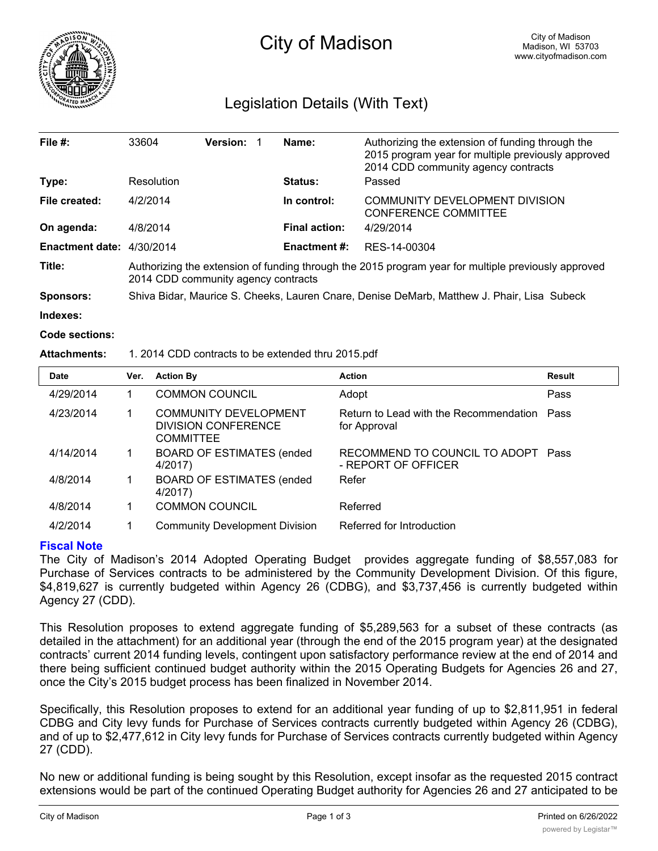

# City of Madison

# Legislation Details (With Text)

| File $#$ :                | 33604                                                                                                                                      | <b>Version:</b> |  | Name:                | Authorizing the extension of funding through the<br>2015 program year for multiple previously approved<br>2014 CDD community agency contracts |  |
|---------------------------|--------------------------------------------------------------------------------------------------------------------------------------------|-----------------|--|----------------------|-----------------------------------------------------------------------------------------------------------------------------------------------|--|
| Type:                     | Resolution                                                                                                                                 |                 |  | <b>Status:</b>       | Passed                                                                                                                                        |  |
| File created:             | 4/2/2014                                                                                                                                   |                 |  | In control:          | COMMUNITY DEVELOPMENT DIVISION<br><b>CONFERENCE COMMITTEE</b>                                                                                 |  |
| On agenda:                | 4/8/2014                                                                                                                                   |                 |  | <b>Final action:</b> | 4/29/2014                                                                                                                                     |  |
| Enactment date: 4/30/2014 |                                                                                                                                            |                 |  | <b>Enactment #:</b>  | RES-14-00304                                                                                                                                  |  |
| Title:                    | Authorizing the extension of funding through the 2015 program year for multiple previously approved<br>2014 CDD community agency contracts |                 |  |                      |                                                                                                                                               |  |
| Sponsors:                 | Shiva Bidar, Maurice S. Cheeks, Lauren Cnare, Denise DeMarb, Matthew J. Phair, Lisa Subeck                                                 |                 |  |                      |                                                                                                                                               |  |

**Indexes:**

**Code sections:**

### **Attachments:** 1. 2014 CDD contracts to be extended thru 2015.pdf

| <b>Date</b> | Ver. | <b>Action By</b>                                                               | <b>Action</b>                                               | <b>Result</b> |
|-------------|------|--------------------------------------------------------------------------------|-------------------------------------------------------------|---------------|
| 4/29/2014   |      | <b>COMMON COUNCIL</b>                                                          | Adopt                                                       | Pass          |
| 4/23/2014   |      | <b>COMMUNITY DEVELOPMENT</b><br><b>DIVISION CONFERENCE</b><br><b>COMMITTEE</b> | Return to Lead with the Recommendation Pass<br>for Approval |               |
| 4/14/2014   |      | <b>BOARD OF ESTIMATES (ended)</b><br>4/2017)                                   | RECOMMEND TO COUNCIL TO ADOPT Pass<br>- REPORT OF OFFICER   |               |
| 4/8/2014    |      | <b>BOARD OF ESTIMATES (ended)</b><br>4/2017)                                   | Refer                                                       |               |
| 4/8/2014    |      | <b>COMMON COUNCIL</b>                                                          | Referred                                                    |               |
| 4/2/2014    |      | <b>Community Development Division</b>                                          | Referred for Introduction                                   |               |

# **Fiscal Note**

The City of Madison's 2014 Adopted Operating Budget provides aggregate funding of \$8,557,083 for Purchase of Services contracts to be administered by the Community Development Division. Of this figure, \$4,819,627 is currently budgeted within Agency 26 (CDBG), and \$3,737,456 is currently budgeted within Agency 27 (CDD).

This Resolution proposes to extend aggregate funding of \$5,289,563 for a subset of these contracts (as detailed in the attachment) for an additional year (through the end of the 2015 program year) at the designated contracts' current 2014 funding levels, contingent upon satisfactory performance review at the end of 2014 and there being sufficient continued budget authority within the 2015 Operating Budgets for Agencies 26 and 27, once the City's 2015 budget process has been finalized in November 2014.

Specifically, this Resolution proposes to extend for an additional year funding of up to \$2,811,951 in federal CDBG and City levy funds for Purchase of Services contracts currently budgeted within Agency 26 (CDBG), and of up to \$2,477,612 in City levy funds for Purchase of Services contracts currently budgeted within Agency 27 (CDD).

No new or additional funding is being sought by this Resolution, except insofar as the requested 2015 contract extensions would be part of the continued Operating Budget authority for Agencies 26 and 27 anticipated to be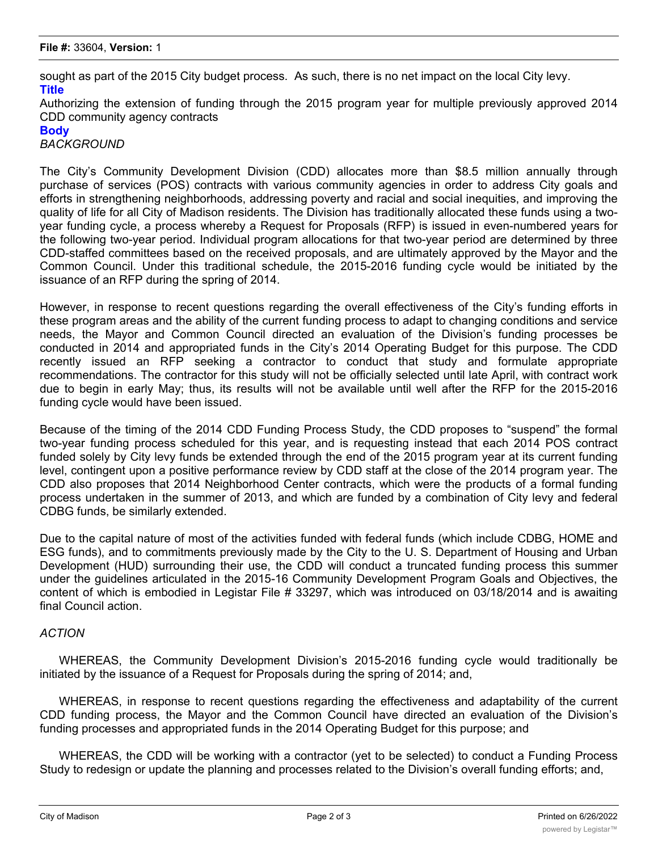sought as part of the 2015 City budget process. As such, there is no net impact on the local City levy. **Title**

Authorizing the extension of funding through the 2015 program year for multiple previously approved 2014 CDD community agency contracts

#### **Body**

*BACKGROUND*

The City's Community Development Division (CDD) allocates more than \$8.5 million annually through purchase of services (POS) contracts with various community agencies in order to address City goals and efforts in strengthening neighborhoods, addressing poverty and racial and social inequities, and improving the quality of life for all City of Madison residents. The Division has traditionally allocated these funds using a twoyear funding cycle, a process whereby a Request for Proposals (RFP) is issued in even-numbered years for the following two-year period. Individual program allocations for that two-year period are determined by three CDD-staffed committees based on the received proposals, and are ultimately approved by the Mayor and the Common Council. Under this traditional schedule, the 2015-2016 funding cycle would be initiated by the issuance of an RFP during the spring of 2014.

However, in response to recent questions regarding the overall effectiveness of the City's funding efforts in these program areas and the ability of the current funding process to adapt to changing conditions and service needs, the Mayor and Common Council directed an evaluation of the Division's funding processes be conducted in 2014 and appropriated funds in the City's 2014 Operating Budget for this purpose. The CDD recently issued an RFP seeking a contractor to conduct that study and formulate appropriate recommendations. The contractor for this study will not be officially selected until late April, with contract work due to begin in early May; thus, its results will not be available until well after the RFP for the 2015-2016 funding cycle would have been issued.

Because of the timing of the 2014 CDD Funding Process Study, the CDD proposes to "suspend" the formal two-year funding process scheduled for this year, and is requesting instead that each 2014 POS contract funded solely by City levy funds be extended through the end of the 2015 program year at its current funding level, contingent upon a positive performance review by CDD staff at the close of the 2014 program year. The CDD also proposes that 2014 Neighborhood Center contracts, which were the products of a formal funding process undertaken in the summer of 2013, and which are funded by a combination of City levy and federal CDBG funds, be similarly extended.

Due to the capital nature of most of the activities funded with federal funds (which include CDBG, HOME and ESG funds), and to commitments previously made by the City to the U. S. Department of Housing and Urban Development (HUD) surrounding their use, the CDD will conduct a truncated funding process this summer under the guidelines articulated in the 2015-16 Community Development Program Goals and Objectives, the content of which is embodied in Legistar File # 33297, which was introduced on 03/18/2014 and is awaiting final Council action.

# *ACTION*

WHEREAS, the Community Development Division's 2015-2016 funding cycle would traditionally be initiated by the issuance of a Request for Proposals during the spring of 2014; and,

WHEREAS, in response to recent questions regarding the effectiveness and adaptability of the current CDD funding process, the Mayor and the Common Council have directed an evaluation of the Division's funding processes and appropriated funds in the 2014 Operating Budget for this purpose; and

WHEREAS, the CDD will be working with a contractor (yet to be selected) to conduct a Funding Process Study to redesign or update the planning and processes related to the Division's overall funding efforts; and,